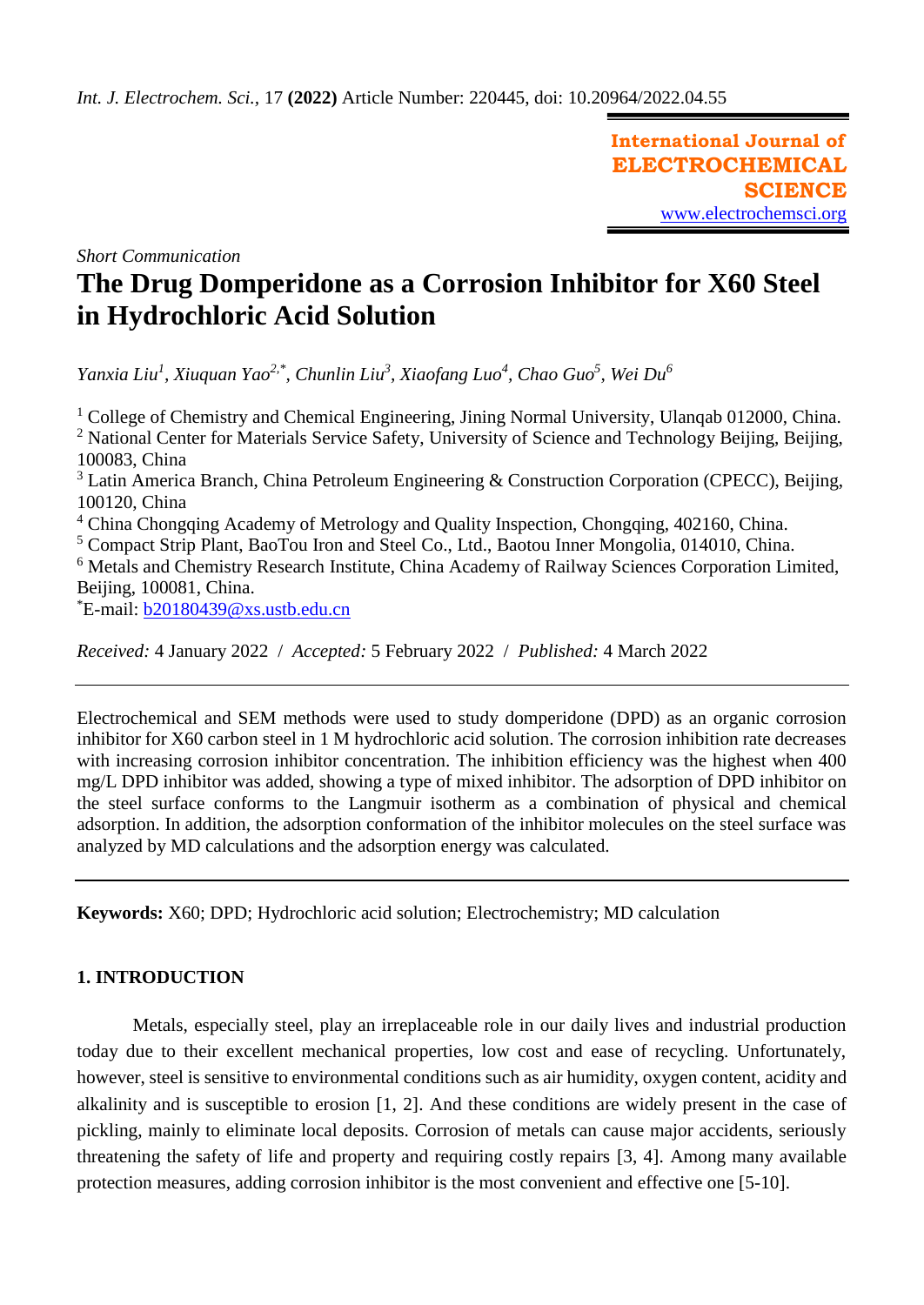**International Journal of ELECTROCHEMICAL SCIENCE** [www.electrochemsci.org](http://www.electrochemsci.org/)

*Short Communication*

# **The Drug Domperidone as a Corrosion Inhibitor for X60 Steel in Hydrochloric Acid Solution**

*Yanxia Liu<sup>1</sup> , Xiuquan Yao2,\* , Chunlin Liu<sup>3</sup> , Xiaofang Luo<sup>4</sup> , Chao Guo<sup>5</sup> , Wei Du<sup>6</sup>*

 $1 \text{ College of Chemistry and Chemical Engineering, Jining Normal University, Ulanaab 012000, China.}$ <sup>2</sup> National Center for Materials Service Safety, University of Science and Technology Beijing, Beijing, 100083, China  $3$  Latin America Branch, China Petroleum Engineering & Construction Corporation (CPECC), Beijing, 100120, China

<sup>4</sup> China Chongqing Academy of Metrology and Quality Inspection, Chongqing, 402160, China.

<sup>5</sup> Compact Strip Plant, BaoTou Iron and Steel Co., Ltd., Baotou Inner Mongolia, 014010, China.

<sup>6</sup> Metals and Chemistry Research Institute, China Academy of Railway Sciences Corporation Limited, Beijing, 100081, China.

\*E-mail: [b20180439@xs.ustb.edu.cn](mailto:b20180439@xs.ustb.edu.cn)

*Received:* 4 January 2022/ *Accepted:* 5 February 2022 / *Published:* 4 March 2022

Electrochemical and SEM methods were used to study domperidone (DPD) as an organic corrosion inhibitor for X60 carbon steel in 1 M hydrochloric acid solution. The corrosion inhibition rate decreases with increasing corrosion inhibitor concentration. The inhibition efficiency was the highest when 400 mg/L DPD inhibitor was added, showing a type of mixed inhibitor. The adsorption of DPD inhibitor on the steel surface conforms to the Langmuir isotherm as a combination of physical and chemical adsorption. In addition, the adsorption conformation of the inhibitor molecules on the steel surface was analyzed by MD calculations and the adsorption energy was calculated.

**Keywords:** X60; DPD; Hydrochloric acid solution; Electrochemistry; MD calculation

# **1. INTRODUCTION**

Metals, especially steel, play an irreplaceable role in our daily lives and industrial production today due to their excellent mechanical properties, low cost and ease of recycling. Unfortunately, however, steel is sensitive to environmental conditions such as air humidity, oxygen content, acidity and alkalinity and is susceptible to erosion [1, 2]. And these conditions are widely present in the case of pickling, mainly to eliminate local deposits. Corrosion of metals can cause major accidents, seriously threatening the safety of life and property and requiring costly repairs [3, 4]. Among many available protection measures, adding corrosion inhibitor is the most convenient and effective one [5-10].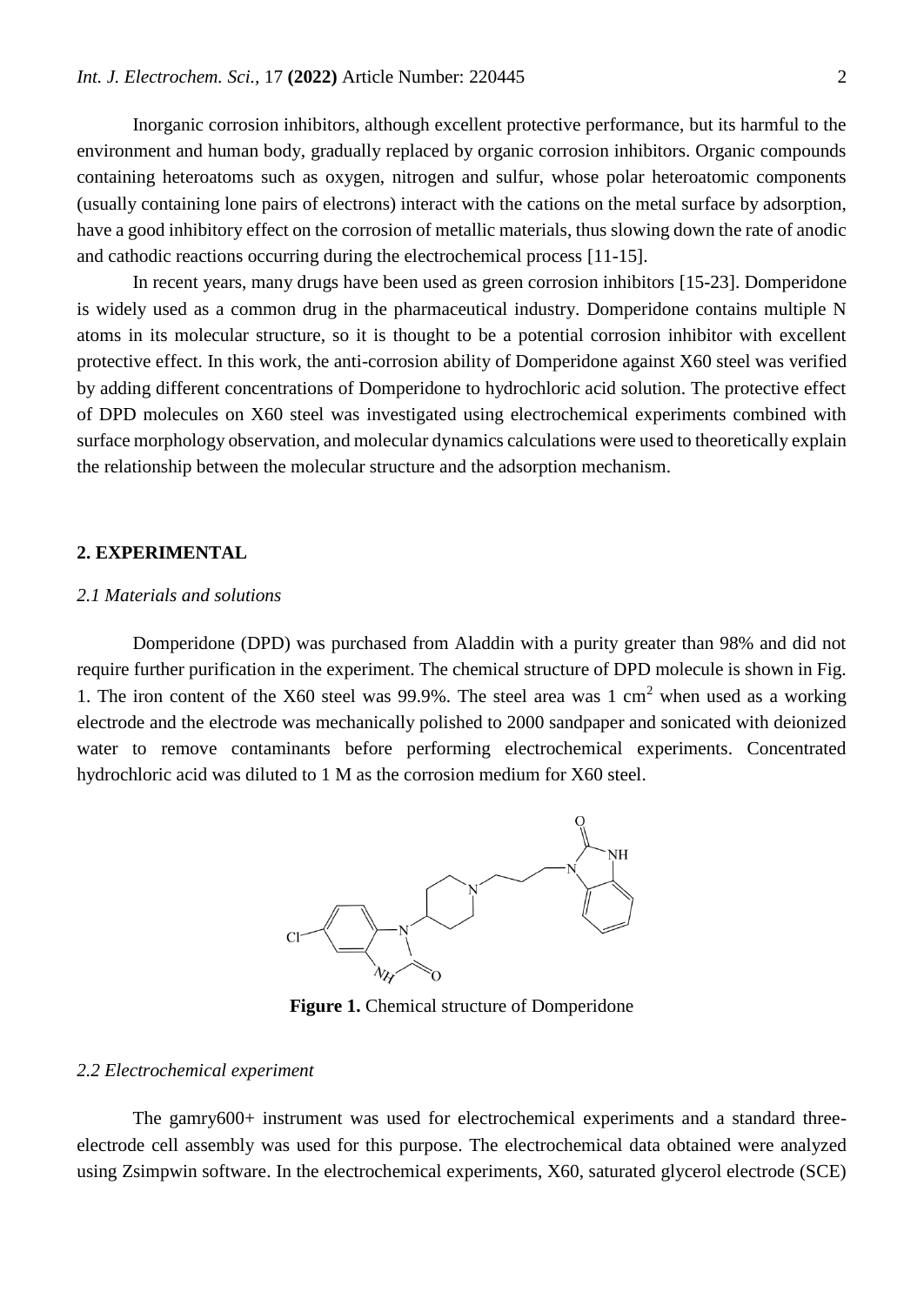Inorganic corrosion inhibitors, although excellent protective performance, but its harmful to the environment and human body, gradually replaced by organic corrosion inhibitors. Organic compounds containing heteroatoms such as oxygen, nitrogen and sulfur, whose polar heteroatomic components (usually containing lone pairs of electrons) interact with the cations on the metal surface by adsorption, have a good inhibitory effect on the corrosion of metallic materials, thus slowing down the rate of anodic and cathodic reactions occurring during the electrochemical process [11-15].

In recent years, many drugs have been used as green corrosion inhibitors [15-23]. Domperidone is widely used as a common drug in the pharmaceutical industry. Domperidone contains multiple N atoms in its molecular structure, so it is thought to be a potential corrosion inhibitor with excellent protective effect. In this work, the anti-corrosion ability of Domperidone against X60 steel was verified by adding different concentrations of Domperidone to hydrochloric acid solution. The protective effect of DPD molecules on X60 steel was investigated using electrochemical experiments combined with surface morphology observation, and molecular dynamics calculations were used to theoretically explain the relationship between the molecular structure and the adsorption mechanism.

## **2. EXPERIMENTAL**

#### *2.1 Materials and solutions*

Domperidone (DPD) was purchased from Aladdin with a purity greater than 98% and did not require further purification in the experiment. The chemical structure of DPD molecule is shown in Fig. 1. The iron content of the X60 steel was 99.9%. The steel area was 1 cm<sup>2</sup> when used as a working electrode and the electrode was mechanically polished to 2000 sandpaper and sonicated with deionized water to remove contaminants before performing electrochemical experiments. Concentrated hydrochloric acid was diluted to 1 M as the corrosion medium for X60 steel.



**Figure 1.** Chemical structure of Domperidone

### *2.2 Electrochemical experiment*

The gamry600+ instrument was used for electrochemical experiments and a standard threeelectrode cell assembly was used for this purpose. The electrochemical data obtained were analyzed using Zsimpwin software. In the electrochemical experiments, X60, saturated glycerol electrode (SCE)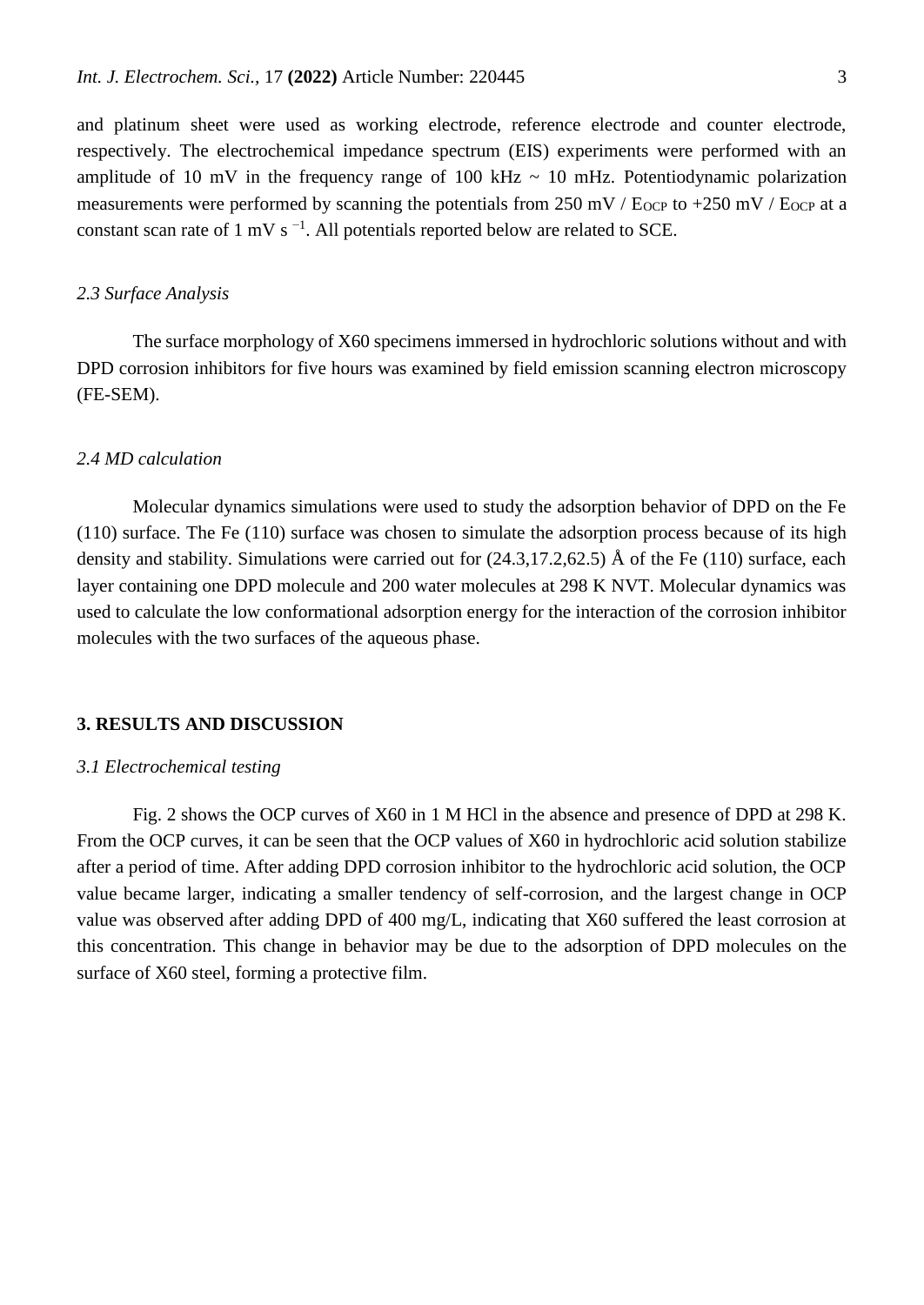and platinum sheet were used as working electrode, reference electrode and counter electrode, respectively. The electrochemical impedance spectrum (EIS) experiments were performed with an amplitude of 10 mV in the frequency range of 100 kHz  $\sim$  10 mHz. Potentiodynamic polarization measurements were performed by scanning the potentials from  $250 \text{ mV}$  / E<sub>OCP</sub> to  $+250 \text{ mV}$  / E<sub>OCP</sub> at a constant scan rate of 1 mV s<sup> $-1$ </sup>. All potentials reported below are related to SCE.

#### *2.3 Surface Analysis*

The surface morphology of X60 specimens immersed in hydrochloric solutions without and with DPD corrosion inhibitors for five hours was examined by field emission scanning electron microscopy (FE-SEM).

## *2.4 MD calculation*

Molecular dynamics simulations were used to study the adsorption behavior of DPD on the Fe (110) surface. The Fe (110) surface was chosen to simulate the adsorption process because of its high density and stability. Simulations were carried out for (24.3,17.2,62.5) Å of the Fe (110) surface, each layer containing one DPD molecule and 200 water molecules at 298 K NVT. Molecular dynamics was used to calculate the low conformational adsorption energy for the interaction of the corrosion inhibitor molecules with the two surfaces of the aqueous phase.

## **3. RESULTS AND DISCUSSION**

#### *3.1 Electrochemical testing*

Fig. 2 shows the OCP curves of X60 in 1 M HCl in the absence and presence of DPD at 298 K. From the OCP curves, it can be seen that the OCP values of X60 in hydrochloric acid solution stabilize after a period of time. After adding DPD corrosion inhibitor to the hydrochloric acid solution, the OCP value became larger, indicating a smaller tendency of self-corrosion, and the largest change in OCP value was observed after adding DPD of 400 mg/L, indicating that X60 suffered the least corrosion at this concentration. This change in behavior may be due to the adsorption of DPD molecules on the surface of X60 steel, forming a protective film.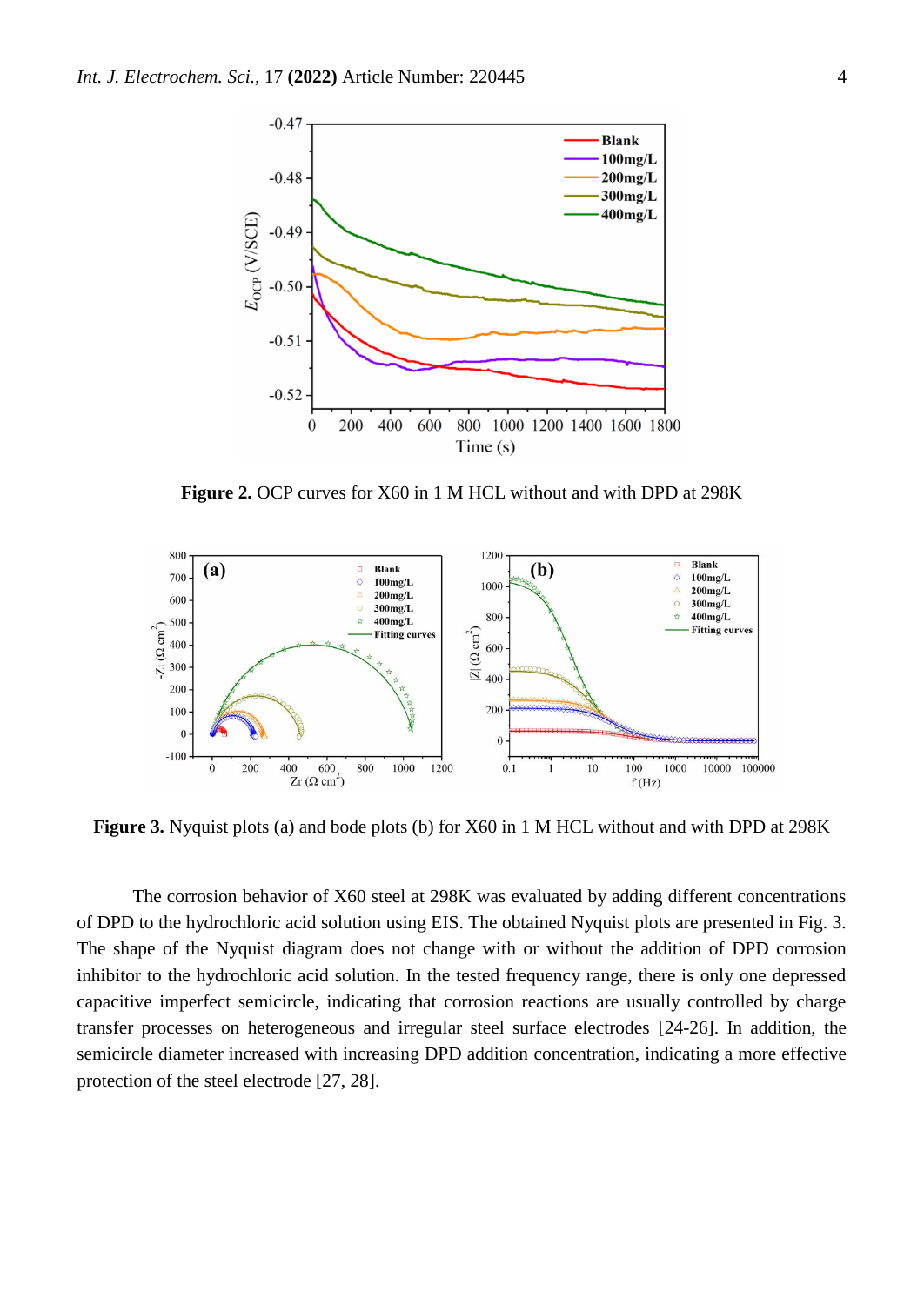

**Figure 2.** OCP curves for X60 in 1 M HCL without and with DPD at 298K



**Figure 3.** Nyquist plots (a) and bode plots (b) for X60 in 1 M HCL without and with DPD at 298K

The corrosion behavior of X60 steel at 298K was evaluated by adding different concentrations of DPD to the hydrochloric acid solution using EIS. The obtained Nyquist plots are presented in Fig. 3. The shape of the Nyquist diagram does not change with or without the addition of DPD corrosion inhibitor to the hydrochloric acid solution. In the tested frequency range, there is only one depressed capacitive imperfect semicircle, indicating that corrosion reactions are usually controlled by charge transfer processes on heterogeneous and irregular steel surface electrodes [24-26]. In addition, the semicircle diameter increased with increasing DPD addition concentration, indicating a more effective protection of the steel electrode [27, 28].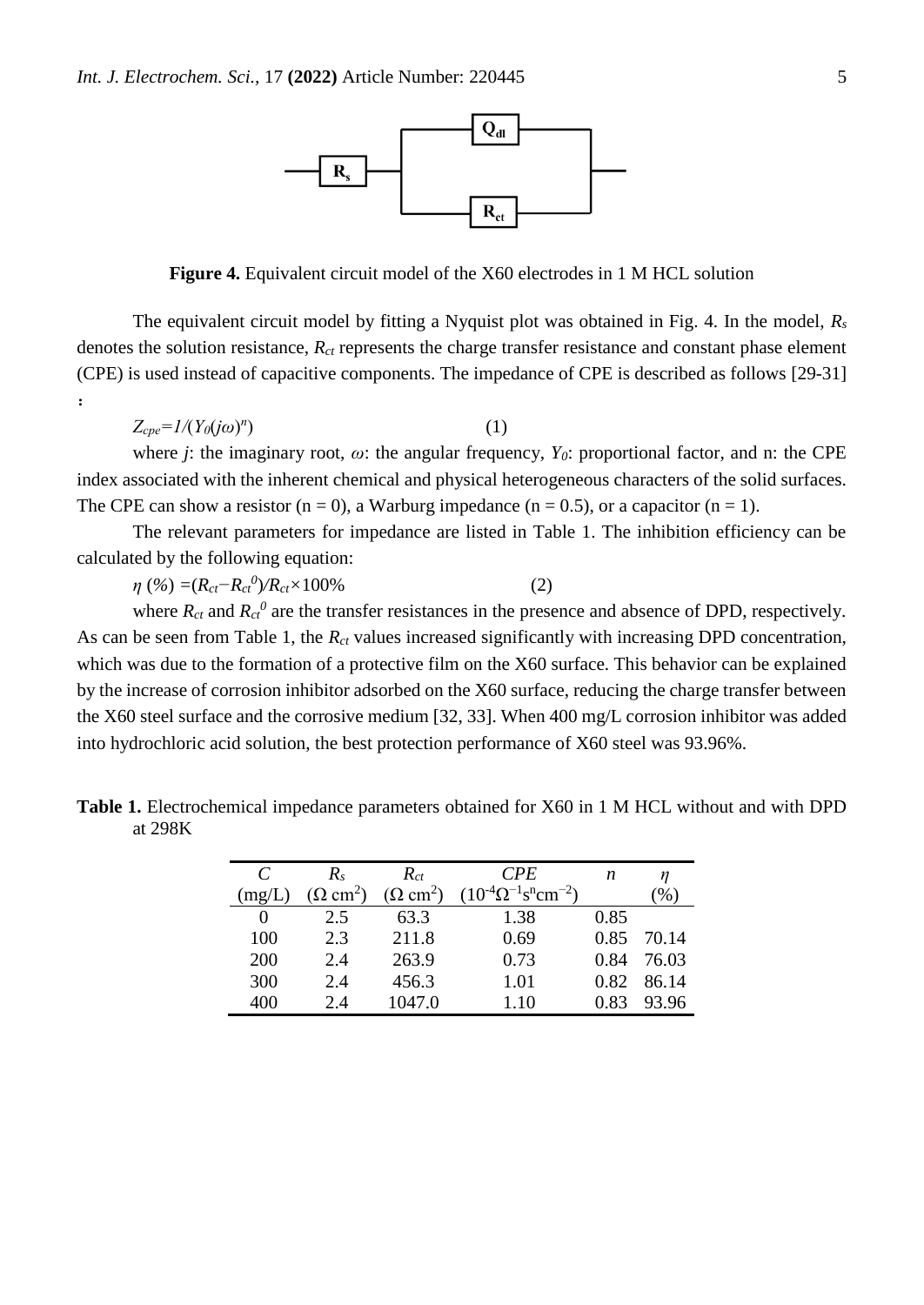

**Figure 4.** Equivalent circuit model of the X60 electrodes in 1 M HCL solution

The equivalent circuit model by fitting a Nyquist plot was obtained in Fig. 4. In the model, *R<sup>s</sup>* denotes the solution resistance, *Rct* represents the charge transfer resistance and constant phase element (CPE) is used instead of capacitive components. The impedance of CPE is described as follows [29-31] :

$$
Z_{cpe} = I/(Y_0(j\omega)^n) \tag{1}
$$

where *j*: the imaginary root,  $\omega$ : the angular frequency,  $Y_0$ : proportional factor, and n: the CPE index associated with the inherent chemical and physical heterogeneous characters of the solid surfaces. The CPE can show a resistor  $(n = 0)$ , a Warburg impedance  $(n = 0.5)$ , or a capacitor  $(n = 1)$ .

The relevant parameters for impedance are listed in Table 1. The inhibition efficiency can be calculated by the following equation:

 $\eta$  (%) = ( $R_{ct} - R_{ct}^{0}/R_{ct} \times 100\%$  (2)

where  $R_{ct}$  and  $R_{ct}$ <sup>0</sup> are the transfer resistances in the presence and absence of DPD, respectively. As can be seen from Table 1, the *R<sub>ct</sub>* values increased significantly with increasing DPD concentration, which was due to the formation of a protective film on the X60 surface. This behavior can be explained by the increase of corrosion inhibitor adsorbed on the X60 surface, reducing the charge transfer between the X60 steel surface and the corrosive medium [32, 33]. When 400 mg/L corrosion inhibitor was added into hydrochloric acid solution, the best protection performance of X60 steel was 93.96%.

**Table 1.** Electrochemical impedance parameters obtained for X60 in 1 M HCL without and with DPD at 298K

| C      | $R_{s}$                    | $R_{ct}$                    | <b>CPE</b>                                                  | n    |       |
|--------|----------------------------|-----------------------------|-------------------------------------------------------------|------|-------|
| (mg/L) | $\Omega$ cm <sup>2</sup> ) | $(\Omega$ cm <sup>2</sup> ) | $(10^{-4} \Omega^{-1} \text{ s}^{\text{n}} \text{cm}^{-2})$ |      | $\%$  |
|        | 2.5                        | 63.3                        | 1.38                                                        | 0.85 |       |
| 100    | 2.3                        | 211.8                       | 0.69                                                        | 0.85 | 70.14 |
| 200    | 2.4                        | 263.9                       | 0.73                                                        | 0.84 | 76.03 |
| 300    | 2.4                        | 456.3                       | 1.01                                                        | 0.82 | 86.14 |
| 400    | 2.4                        | 1047.0                      | 1.10                                                        | 0.83 | 93.96 |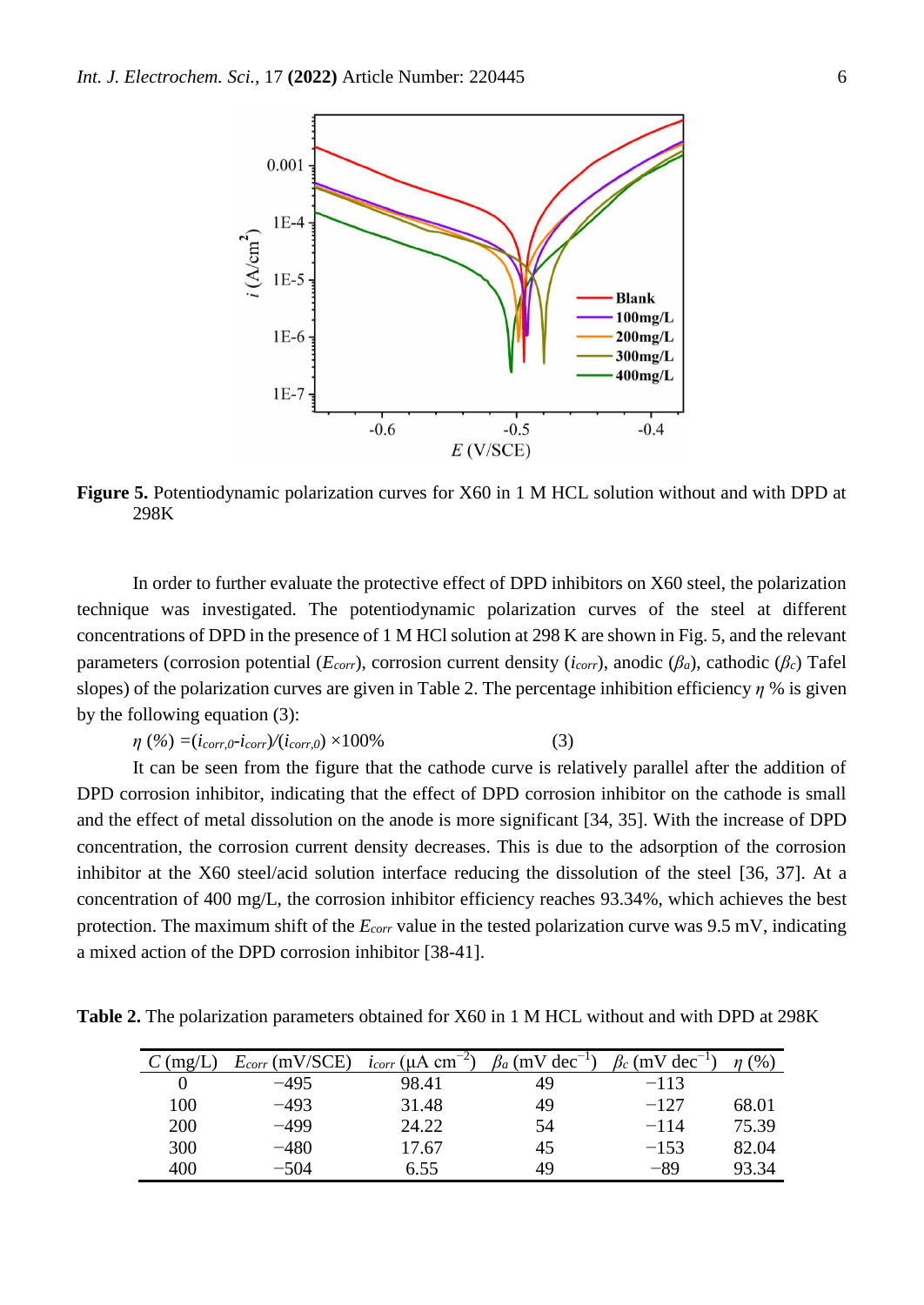

**Figure 5.** Potentiodynamic polarization curves for X60 in 1 M HCL solution without and with DPD at 298K

In order to further evaluate the protective effect of DPD inhibitors on X60 steel, the polarization technique was investigated. The potentiodynamic polarization curves of the steel at different concentrations of DPD in the presence of 1 M HCl solution at 298 K are shown in Fig. 5, and the relevant parameters (corrosion potential (*Ecorr*), corrosion current density (*icorr*), anodic (*βa*), cathodic (*βc*) Tafel slopes) of the polarization curves are given in Table 2. The percentage inhibition efficiency *η* % is given by the following equation (3):

$$
\eta\,\left(\%\right) = (i_{corr,0}\text{-}i_{corr})/(i_{corr,0}) \times 100\%\tag{3}
$$

It can be seen from the figure that the cathode curve is relatively parallel after the addition of DPD corrosion inhibitor, indicating that the effect of DPD corrosion inhibitor on the cathode is small and the effect of metal dissolution on the anode is more significant [34, 35]. With the increase of DPD concentration, the corrosion current density decreases. This is due to the adsorption of the corrosion inhibitor at the X60 steel/acid solution interface reducing the dissolution of the steel [36, 37]. At a concentration of 400 mg/L, the corrosion inhibitor efficiency reaches 93.34%, which achieves the best protection. The maximum shift of the *Ecorr* value in the tested polarization curve was 9.5 mV, indicating a mixed action of the DPD corrosion inhibitor [38-41].

**Table 2.** The polarization parameters obtained for X60 in 1 M HCL without and with DPD at 298K

| $\text{mg/L}$ | $E_{corr}$ (mV/SCE) | $i_{corr}$ (µA cm <sup>-</sup> | $\beta_a$ (mV dec <sup>-1</sup> ) | $(mV dec^{-1})$ | $\gamma$ <sup>0</sup> |
|---------------|---------------------|--------------------------------|-----------------------------------|-----------------|-----------------------|
|               | $-495$              | 98.41                          | 49                                | $-113$          |                       |
| 100           | $-493$              | 31.48                          | 49                                | $-127$          | 68.01                 |
| 200           | $-499$              | 24.22                          | 54                                | $-114$          | 75.39                 |
| 300           | $-480$              | 17.67                          | 45                                | $-1.53$         | 82.04                 |
| 400           | $-504$              | 6.55                           | 49                                | -89             | 93.34                 |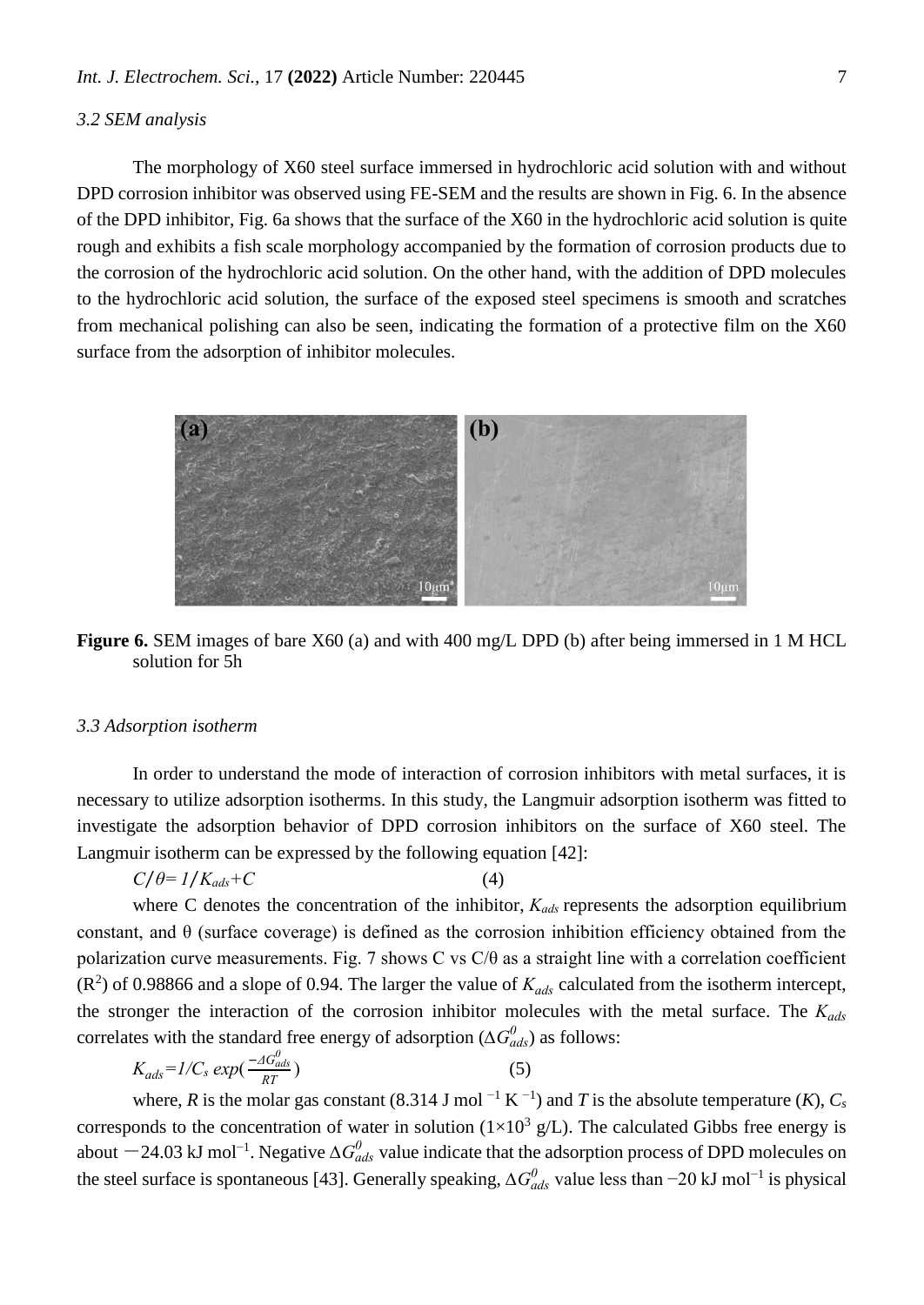#### *3.2 SEM analysis*

The morphology of X60 steel surface immersed in hydrochloric acid solution with and without DPD corrosion inhibitor was observed using FE-SEM and the results are shown in Fig. 6. In the absence of the DPD inhibitor, Fig. 6a shows that the surface of the X60 in the hydrochloric acid solution is quite rough and exhibits a fish scale morphology accompanied by the formation of corrosion products due to the corrosion of the hydrochloric acid solution. On the other hand, with the addition of DPD molecules to the hydrochloric acid solution, the surface of the exposed steel specimens is smooth and scratches from mechanical polishing can also be seen, indicating the formation of a protective film on the X60 surface from the adsorption of inhibitor molecules.



**Figure 6.** SEM images of bare X60 (a) and with 400 mg/L DPD (b) after being immersed in 1 M HCL solution for 5h

#### *3.3 Adsorption isotherm*

In order to understand the mode of interaction of corrosion inhibitors with metal surfaces, it is necessary to utilize adsorption isotherms. In this study, the Langmuir adsorption isotherm was fitted to investigate the adsorption behavior of DPD corrosion inhibitors on the surface of X60 steel. The Langmuir isotherm can be expressed by the following equation [42]:

$$
C/\theta = 1/K_{ads} + C \tag{4}
$$

where C denotes the concentration of the inhibitor, *Kads* represents the adsorption equilibrium constant, and  $\theta$  (surface coverage) is defined as the corrosion inhibition efficiency obtained from the polarization curve measurements. Fig. 7 shows C vs C/θ as a straight line with a correlation coefficient  $(R<sup>2</sup>)$  of 0.98866 and a slope of 0.94. The larger the value of  $K_{ads}$  calculated from the isotherm intercept, the stronger the interaction of the corrosion inhibitor molecules with the metal surface. The *Kads* correlates with the standard free energy of adsorption ( $\Delta G_{ads}^0$ ) as follows:

$$
K_{ads} = I/C_s \exp(\frac{-\Delta G_{ads}^0}{RT})
$$
\n(5)

where, *R* is the molar gas constant (8.314 J mol<sup>-1</sup> K<sup>-1</sup>) and *T* is the absolute temperature (*K*),  $C_s$ corresponds to the concentration of water in solution  $(1\times10^3 \text{ g/L})$ . The calculated Gibbs free energy is about  $-$ 24.03 kJ mol<sup>-1</sup>. Negative  $\Delta G_{ads}^0$  value indicate that the adsorption process of DPD molecules on the steel surface is spontaneous [43]. Generally speaking,  $\Delta G_{ads}^0$  value less than −20 kJ mol<sup>-1</sup> is physical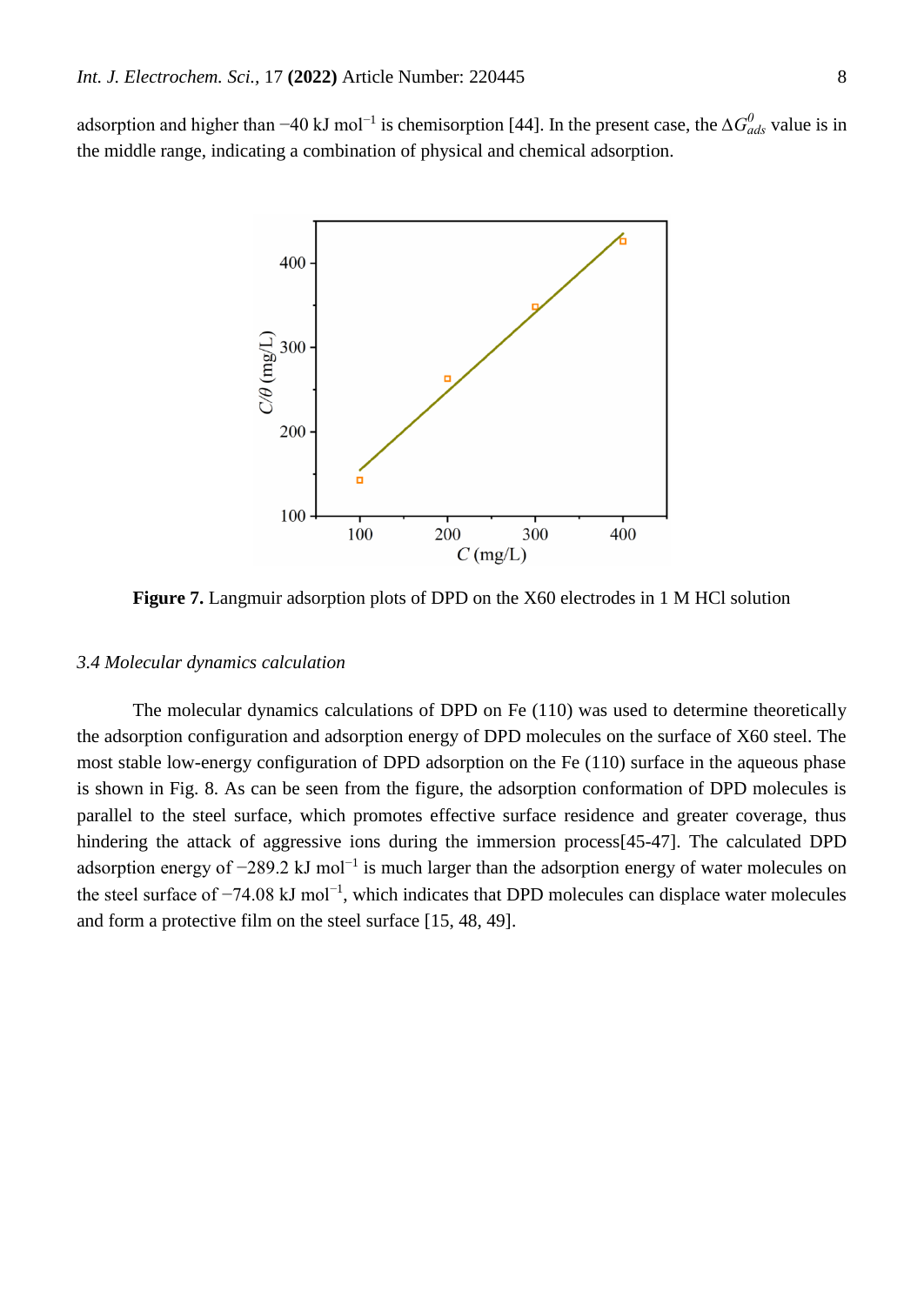adsorption and higher than −40 kJ mol<sup>-1</sup> is chemisorption [44]. In the present case, the  $\Delta G_{ads}^0$  value is in the middle range, indicating a combination of physical and chemical adsorption.



**Figure 7.** Langmuir adsorption plots of DPD on the X60 electrodes in 1 M HCl solution

#### *3.4 Molecular dynamics calculation*

The molecular dynamics calculations of DPD on Fe (110) was used to determine theoretically the adsorption configuration and adsorption energy of DPD molecules on the surface of X60 steel. The most stable low-energy configuration of DPD adsorption on the Fe (110) surface in the aqueous phase is shown in Fig. 8. As can be seen from the figure, the adsorption conformation of DPD molecules is parallel to the steel surface, which promotes effective surface residence and greater coverage, thus hindering the attack of aggressive ions during the immersion process[45-47]. The calculated DPD adsorption energy of -289.2 kJ mol<sup>-1</sup> is much larger than the adsorption energy of water molecules on the steel surface of –74.08 kJ mol<sup>-1</sup>, which indicates that DPD molecules can displace water molecules and form a protective film on the steel surface [15, 48, 49].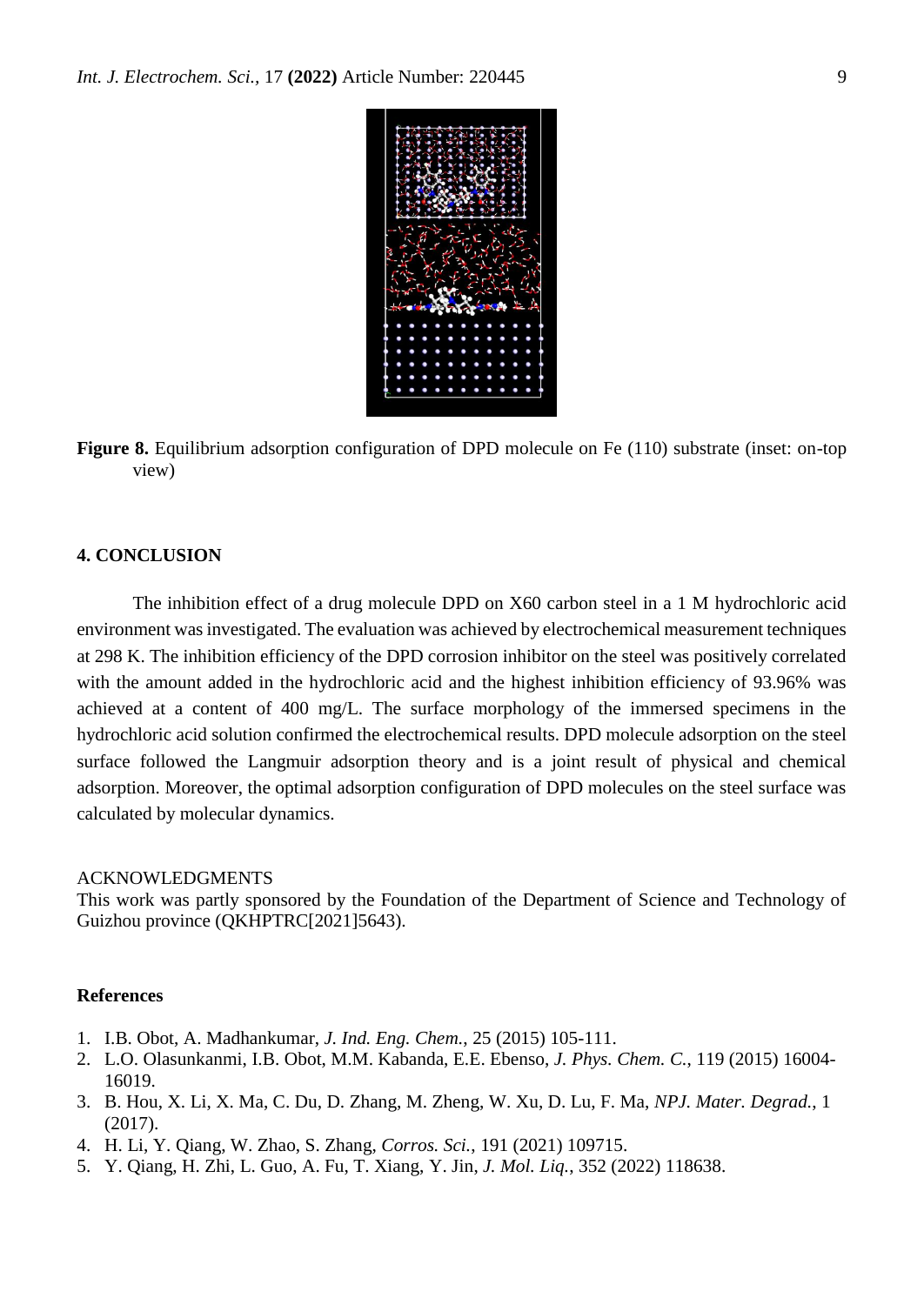

**Figure 8.** Equilibrium adsorption configuration of DPD molecule on Fe (110) substrate (inset: on-top view)

#### **4. CONCLUSION**

The inhibition effect of a drug molecule DPD on X60 carbon steel in a 1 M hydrochloric acid environment was investigated. The evaluation was achieved by electrochemical measurement techniques at 298 K. The inhibition efficiency of the DPD corrosion inhibitor on the steel was positively correlated with the amount added in the hydrochloric acid and the highest inhibition efficiency of 93.96% was achieved at a content of 400 mg/L. The surface morphology of the immersed specimens in the hydrochloric acid solution confirmed the electrochemical results. DPD molecule adsorption on the steel surface followed the Langmuir adsorption theory and is a joint result of physical and chemical adsorption. Moreover, the optimal adsorption configuration of DPD molecules on the steel surface was calculated by molecular dynamics.

#### ACKNOWLEDGMENTS

This work was partly sponsored by the Foundation of the Department of Science and Technology of Guizhou province (QKHPTRC[2021]5643).

#### **References**

- 1. I.B. Obot, A. Madhankumar, *J. Ind. Eng. Chem.*, 25 (2015) 105-111.
- 2. L.O. Olasunkanmi, I.B. Obot, M.M. Kabanda, E.E. Ebenso, *J. Phys. Chem. C.*, 119 (2015) 16004- 16019.
- 3. B. Hou, X. Li, X. Ma, C. Du, D. Zhang, M. Zheng, W. Xu, D. Lu, F. Ma, *NPJ. Mater. Degrad.*, 1 (2017).
- 4. H. Li, Y. Qiang, W. Zhao, S. Zhang, *Corros. Sci.*, 191 (2021) 109715.
- 5. Y. Qiang, H. Zhi, L. Guo, A. Fu, T. Xiang, Y. Jin, *J. Mol. Liq.*, 352 (2022) 118638.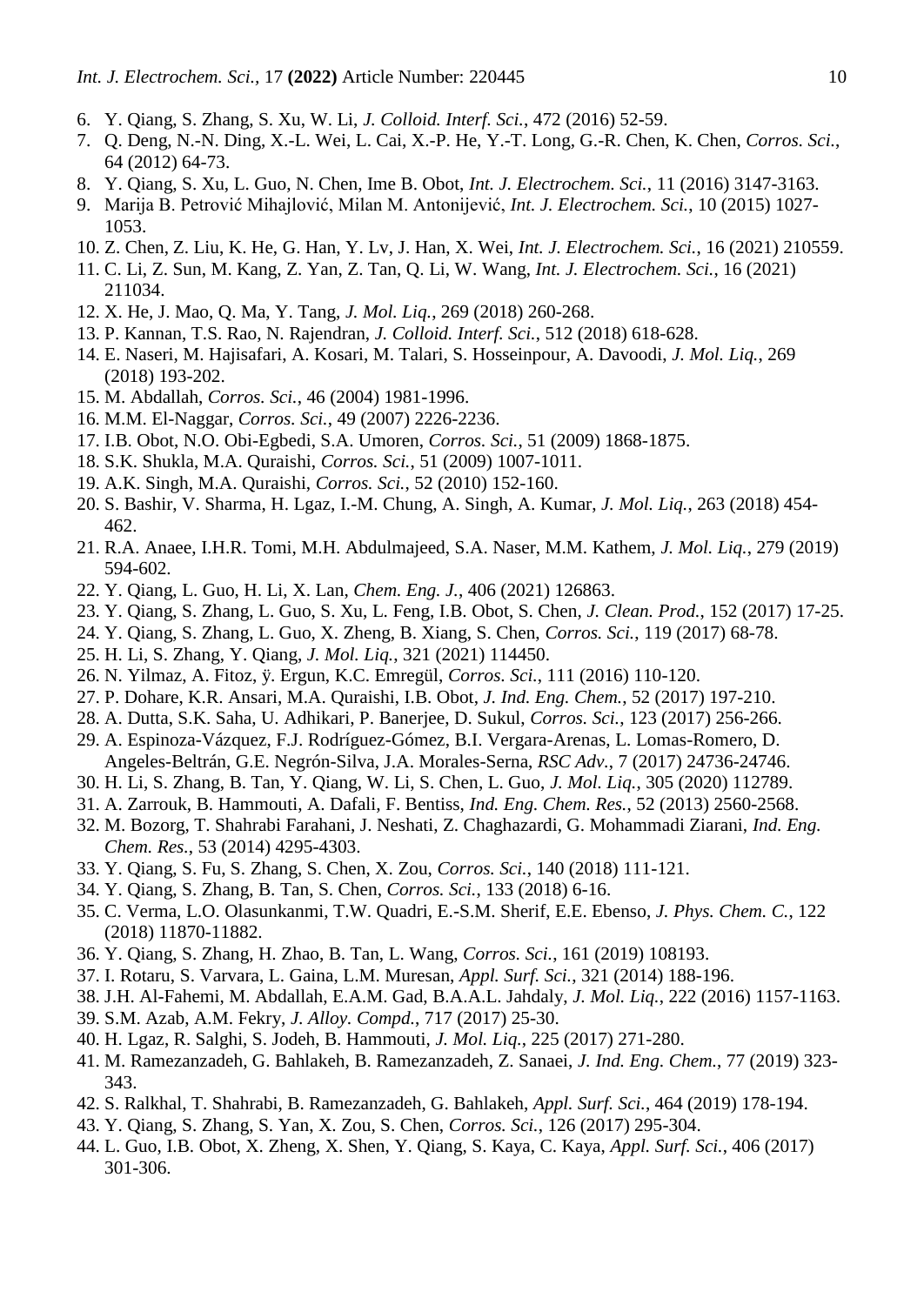- 6. Y. Qiang, S. Zhang, S. Xu, W. Li, *J. Colloid. Interf. Sci.*, 472 (2016) 52-59.
- 7. Q. Deng, N.-N. Ding, X.-L. Wei, L. Cai, X.-P. He, Y.-T. Long, G.-R. Chen, K. Chen, *Corros. Sci.*, 64 (2012) 64-73.
- 8. Y. Qiang, S. Xu, L. Guo, N. Chen, Ime B. Obot, *Int. J. Electrochem. Sci.*, 11 (2016) 3147-3163.
- 9. Marija B. Petrović Mihajlović, Milan M. Antonijević, *Int. J. Electrochem. Sci.*, 10 (2015) 1027- 1053.
- 10. Z. Chen, Z. Liu, K. He, G. Han, Y. Lv, J. Han, X. Wei, *Int. J. Electrochem. Sci.*, 16 (2021) 210559.
- 11. C. Li, Z. Sun, M. Kang, Z. Yan, Z. Tan, Q. Li, W. Wang, *Int. J. Electrochem. Sci.*, 16 (2021) 211034.
- 12. X. He, J. Mao, Q. Ma, Y. Tang, *J. Mol. Liq.*, 269 (2018) 260-268.
- 13. P. Kannan, T.S. Rao, N. Rajendran, *J. Colloid. Interf. Sci.*, 512 (2018) 618-628.
- 14. E. Naseri, M. Hajisafari, A. Kosari, M. Talari, S. Hosseinpour, A. Davoodi, *J. Mol. Liq.*, 269 (2018) 193-202.
- 15. M. Abdallah, *Corros. Sci.*, 46 (2004) 1981-1996.
- 16. M.M. El-Naggar, *Corros. Sci.*, 49 (2007) 2226-2236.
- 17. I.B. Obot, N.O. Obi-Egbedi, S.A. Umoren, *Corros. Sci.*, 51 (2009) 1868-1875.
- 18. S.K. Shukla, M.A. Quraishi, *Corros. Sci.*, 51 (2009) 1007-1011.
- 19. A.K. Singh, M.A. Quraishi, *Corros. Sci.*, 52 (2010) 152-160.
- 20. S. Bashir, V. Sharma, H. Lgaz, I.-M. Chung, A. Singh, A. Kumar, *J. Mol. Liq.*, 263 (2018) 454- 462.
- 21. R.A. Anaee, I.H.R. Tomi, M.H. Abdulmajeed, S.A. Naser, M.M. Kathem, *J. Mol. Liq.*, 279 (2019) 594-602.
- 22. Y. Qiang, L. Guo, H. Li, X. Lan, *Chem. Eng. J.*, 406 (2021) 126863.
- 23. Y. Qiang, S. Zhang, L. Guo, S. Xu, L. Feng, I.B. Obot, S. Chen, *J. Clean. Prod.*, 152 (2017) 17-25.
- 24. Y. Qiang, S. Zhang, L. Guo, X. Zheng, B. Xiang, S. Chen, *Corros. Sci.*, 119 (2017) 68-78.
- 25. H. Li, S. Zhang, Y. Qiang, *J. Mol. Liq.*, 321 (2021) 114450.
- 26. N. Yilmaz, A. Fitoz, ÿ. Ergun, K.C. Emregül, *Corros. Sci.*, 111 (2016) 110-120.
- 27. P. Dohare, K.R. Ansari, M.A. Quraishi, I.B. Obot, *J. Ind. Eng. Chem.*, 52 (2017) 197-210.
- 28. A. Dutta, S.K. Saha, U. Adhikari, P. Banerjee, D. Sukul, *Corros. Sci.*, 123 (2017) 256-266.
- 29. A. Espinoza-Vázquez, F.J. Rodríguez-Gómez, B.I. Vergara-Arenas, L. Lomas-Romero, D. Angeles-Beltrán, G.E. Negrón-Silva, J.A. Morales-Serna, *RSC Adv.*, 7 (2017) 24736-24746.
- 30. H. Li, S. Zhang, B. Tan, Y. Qiang, W. Li, S. Chen, L. Guo, *J. Mol. Liq.*, 305 (2020) 112789.
- 31. A. Zarrouk, B. Hammouti, A. Dafali, F. Bentiss, *Ind. Eng. Chem. Res.*, 52 (2013) 2560-2568.
- 32. M. Bozorg, T. Shahrabi Farahani, J. Neshati, Z. Chaghazardi, G. Mohammadi Ziarani, *Ind. Eng. Chem. Res.*, 53 (2014) 4295-4303.
- 33. Y. Qiang, S. Fu, S. Zhang, S. Chen, X. Zou, *Corros. Sci.*, 140 (2018) 111-121.
- 34. Y. Qiang, S. Zhang, B. Tan, S. Chen, *Corros. Sci.*, 133 (2018) 6-16.
- 35. C. Verma, L.O. Olasunkanmi, T.W. Quadri, E.-S.M. Sherif, E.E. Ebenso, *J. Phys. Chem. C.*, 122 (2018) 11870-11882.
- 36. Y. Qiang, S. Zhang, H. Zhao, B. Tan, L. Wang, *Corros. Sci.*, 161 (2019) 108193.
- 37. I. Rotaru, S. Varvara, L. Gaina, L.M. Muresan, *Appl. Surf. Sci.*, 321 (2014) 188-196.
- 38. J.H. Al-Fahemi, M. Abdallah, E.A.M. Gad, B.A.A.L. Jahdaly, *J. Mol. Liq.*, 222 (2016) 1157-1163.
- 39. S.M. Azab, A.M. Fekry, *J. Alloy. Compd.*, 717 (2017) 25-30.
- 40. H. Lgaz, R. Salghi, S. Jodeh, B. Hammouti, *J. Mol. Liq.*, 225 (2017) 271-280.
- 41. M. Ramezanzadeh, G. Bahlakeh, B. Ramezanzadeh, Z. Sanaei, *J. Ind. Eng. Chem.*, 77 (2019) 323- 343.
- 42. S. Ralkhal, T. Shahrabi, B. Ramezanzadeh, G. Bahlakeh, *Appl. Surf. Sci.*, 464 (2019) 178-194.
- 43. Y. Qiang, S. Zhang, S. Yan, X. Zou, S. Chen, *Corros. Sci.*, 126 (2017) 295-304.
- 44. L. Guo, I.B. Obot, X. Zheng, X. Shen, Y. Qiang, S. Kaya, C. Kaya, *Appl. Surf. Sci.*, 406 (2017) 301-306.